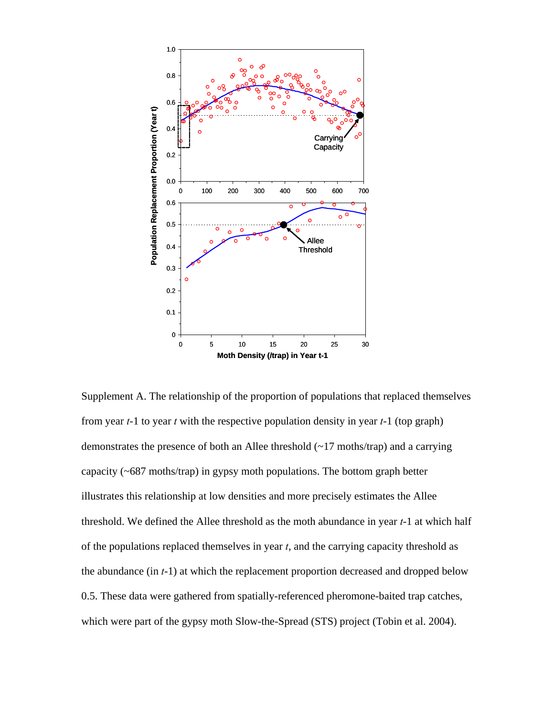

Supplement A. The relationship of the proportion of populations that replaced themselves from year *t*-1 to year *t* with the respective population density in year *t*-1 (top graph) demonstrates the presence of both an Allee threshold (~17 moths/trap) and a carrying capacity (~687 moths/trap) in gypsy moth populations. The bottom graph better illustrates this relationship at low densities and more precisely estimates the Allee threshold. We defined the Allee threshold as the moth abundance in year *t*-1 at which half of the populations replaced themselves in year *t*, and the carrying capacity threshold as the abundance (in *t*-1) at which the replacement proportion decreased and dropped below 0.5. These data were gathered from spatially-referenced pheromone-baited trap catches, which were part of the gypsy moth Slow-the-Spread (STS) project (Tobin et al. 2004).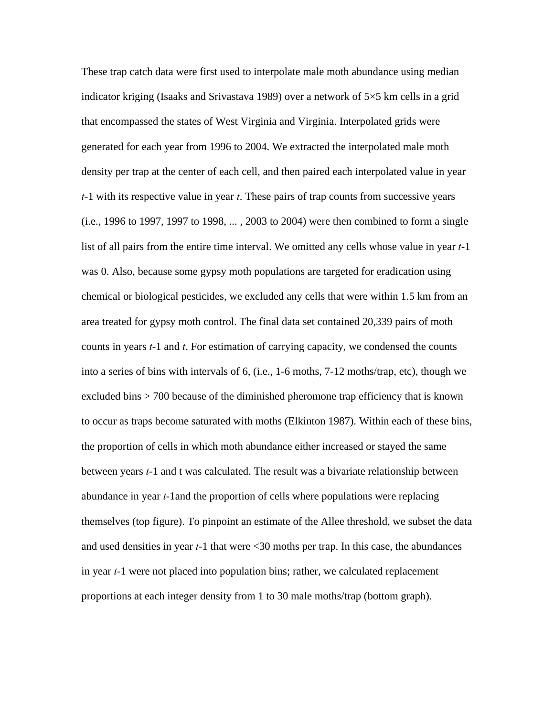These trap catch data were first used to interpolate male moth abundance using median indicator kriging (Isaaks and Srivastava 1989) over a network of 5×5 km cells in a grid that encompassed the states of West Virginia and Virginia. Interpolated grids were generated for each year from 1996 to 2004. We extracted the interpolated male moth density per trap at the center of each cell, and then paired each interpolated value in year *t*-1 with its respective value in year *t*. These pairs of trap counts from successive years (i.e., 1996 to 1997, 1997 to 1998, ... , 2003 to 2004) were then combined to form a single list of all pairs from the entire time interval. We omitted any cells whose value in year *t*-1 was 0. Also, because some gypsy moth populations are targeted for eradication using chemical or biological pesticides, we excluded any cells that were within 1.5 km from an area treated for gypsy moth control. The final data set contained 20,339 pairs of moth counts in years *t*-1 and *t*. For estimation of carrying capacity, we condensed the counts into a series of bins with intervals of 6, (i.e., 1-6 moths, 7-12 moths/trap, etc), though we excluded bins > 700 because of the diminished pheromone trap efficiency that is known to occur as traps become saturated with moths (Elkinton 1987). Within each of these bins, the proportion of cells in which moth abundance either increased or stayed the same between years *t*-1 and t was calculated. The result was a bivariate relationship between abundance in year *t*-1and the proportion of cells where populations were replacing themselves (top figure). To pinpoint an estimate of the Allee threshold, we subset the data and used densities in year *t*-1 that were <30 moths per trap. In this case, the abundances in year *t*-1 were not placed into population bins; rather, we calculated replacement proportions at each integer density from 1 to 30 male moths/trap (bottom graph).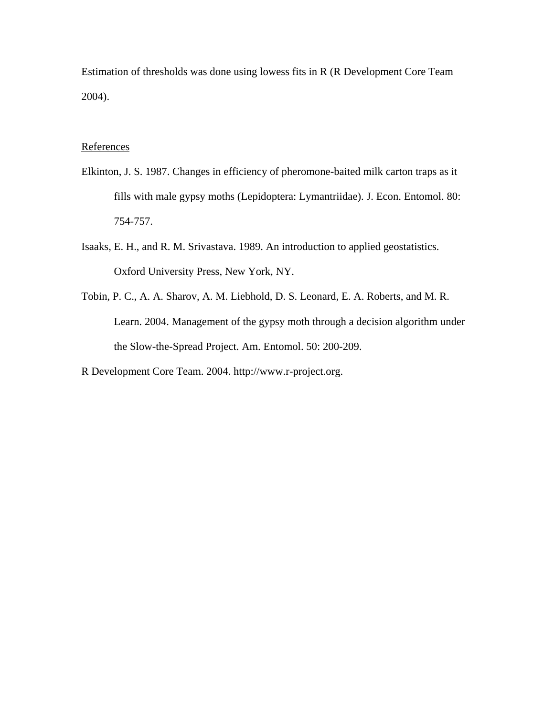Estimation of thresholds was done using lowess fits in R (R Development Core Team 2004).

## References

- Elkinton, J. S. 1987. Changes in efficiency of pheromone-baited milk carton traps as it fills with male gypsy moths (Lepidoptera: Lymantriidae). J. Econ. Entomol. 80: 754-757.
- Isaaks, E. H., and R. M. Srivastava. 1989. An introduction to applied geostatistics. Oxford University Press, New York, NY.
- Tobin, P. C., A. A. Sharov, A. M. Liebhold, D. S. Leonard, E. A. Roberts, and M. R. Learn. 2004. Management of the gypsy moth through a decision algorithm under the Slow-the-Spread Project. Am. Entomol. 50: 200-209.
- R Development Core Team. 2004. http://www.r-project.org.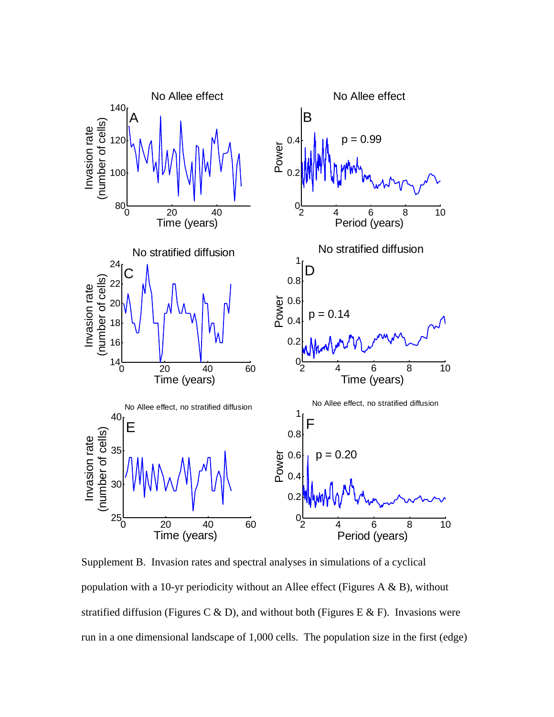

Supplement B. Invasion rates and spectral analyses in simulations of a cyclical population with a 10-yr periodicity without an Allee effect (Figures A  $\&$  B), without stratified diffusion (Figures C & D), and without both (Figures E & F). Invasions were run in a one dimensional landscape of 1,000 cells. The population size in the first (edge)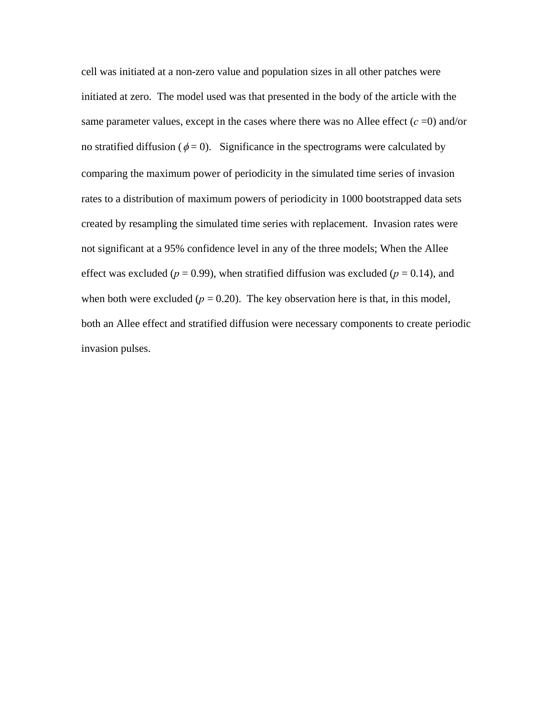cell was initiated at a non-zero value and population sizes in all other patches were initiated at zero. The model used was that presented in the body of the article with the same parameter values, except in the cases where there was no Allee effect  $(c = 0)$  and/or no stratified diffusion ( $\phi = 0$ ). Significance in the spectrograms were calculated by comparing the maximum power of periodicity in the simulated time series of invasion rates to a distribution of maximum powers of periodicity in 1000 bootstrapped data sets created by resampling the simulated time series with replacement. Invasion rates were not significant at a 95% confidence level in any of the three models; When the Allee effect was excluded ( $p = 0.99$ ), when stratified diffusion was excluded ( $p = 0.14$ ), and when both were excluded  $(p = 0.20)$ . The key observation here is that, in this model, both an Allee effect and stratified diffusion were necessary components to create periodic invasion pulses.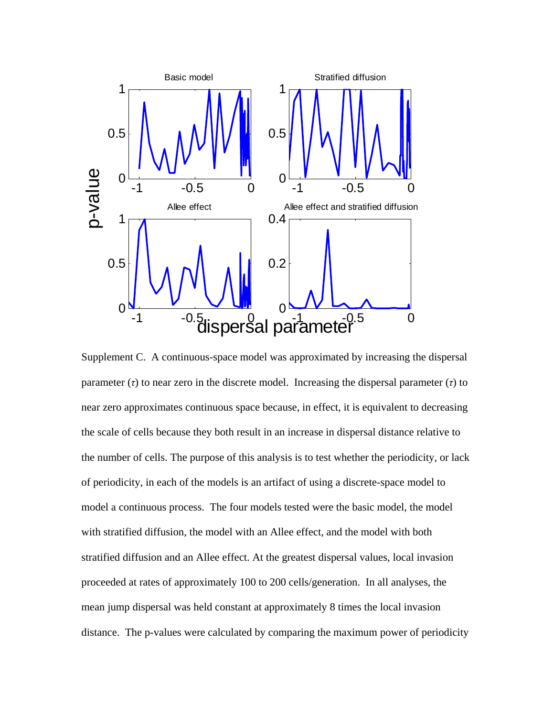

Supplement C. A continuous-space model was approximated by increasing the dispersal parameter  $(τ)$  to near zero in the discrete model. Increasing the dispersal parameter  $(τ)$  to near zero approximates continuous space because, in effect, it is equivalent to decreasing the scale of cells because they both result in an increase in dispersal distance relative to the number of cells. The purpose of this analysis is to test whether the periodicity, or lack of periodicity, in each of the models is an artifact of using a discrete-space model to model a continuous process. The four models tested were the basic model, the model with stratified diffusion, the model with an Allee effect, and the model with both stratified diffusion and an Allee effect. At the greatest dispersal values, local invasion proceeded at rates of approximately 100 to 200 cells/generation. In all analyses, the mean jump dispersal was held constant at approximately 8 times the local invasion distance. The p-values were calculated by comparing the maximum power of periodicity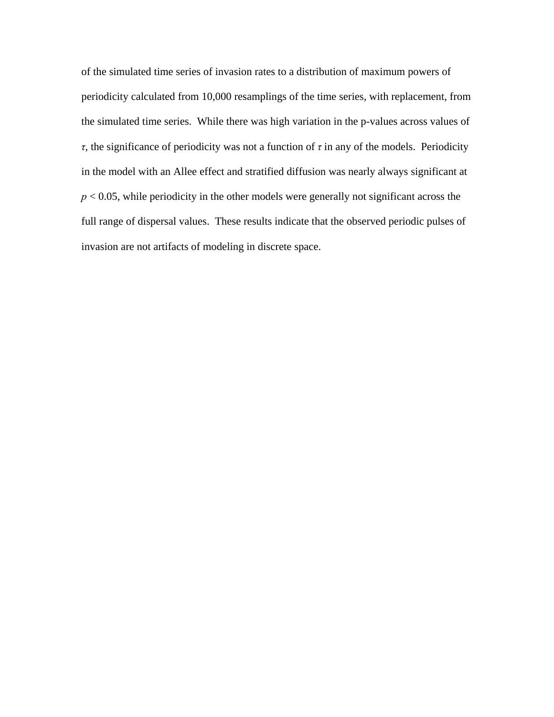of the simulated time series of invasion rates to a distribution of maximum powers of periodicity calculated from 10,000 resamplings of the time series, with replacement, from the simulated time series. While there was high variation in the p-values across values of *τ*, the significance of periodicity was not a function of *τ* in any of the models. Periodicity in the model with an Allee effect and stratified diffusion was nearly always significant at *p* < 0.05, while periodicity in the other models were generally not significant across the full range of dispersal values. These results indicate that the observed periodic pulses of invasion are not artifacts of modeling in discrete space.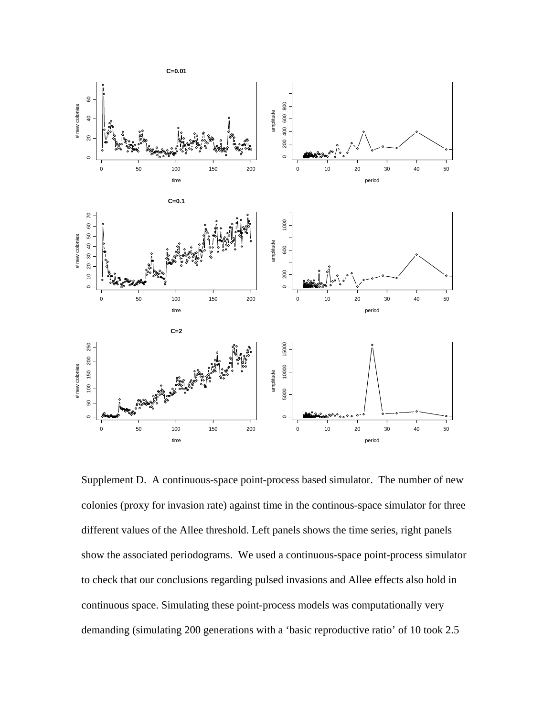

Supplement D. A continuous-space point-process based simulator.The number of new colonies (proxy for invasion rate) against time in the continous-space simulator for three different values of the Allee threshold. Left panels shows the time series, right panels show the associated periodograms. We used a continuous-space point-process simulator to check that our conclusions regarding pulsed invasions and Allee effects also hold in continuous space. Simulating these point-process models was computationally very demanding (simulating 200 generations with a 'basic reproductive ratio' of 10 took 2.5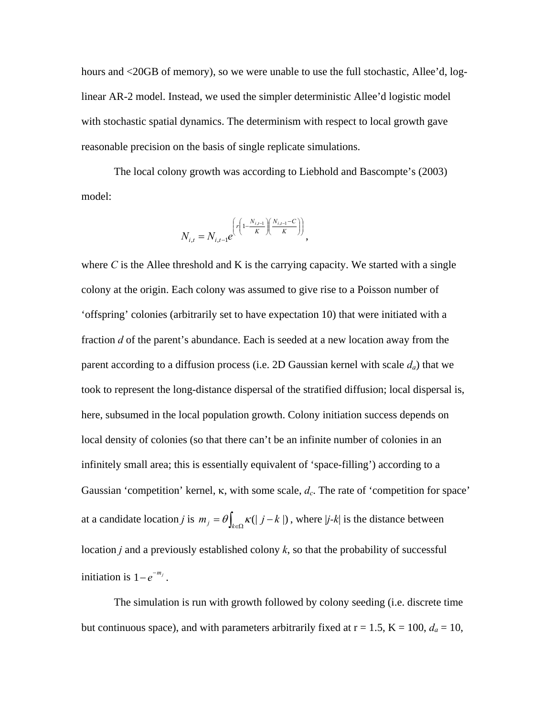hours and <20GB of memory), so we were unable to use the full stochastic, Allee'd, loglinear AR-2 model. Instead, we used the simpler deterministic Allee'd logistic model with stochastic spatial dynamics. The determinism with respect to local growth gave reasonable precision on the basis of single replicate simulations.

The local colony growth was according to Liebhold and Bascompte's (2003) model:

$$
N_{i,t} = N_{i,t-1} e^{\left(r\left(1 - \frac{N_{i,t-1}}{K}\right)\left(\frac{N_{i,t-1} - C}{K}\right)\right)},
$$

where  $C$  is the Allee threshold and  $K$  is the carrying capacity. We started with a single colony at the origin. Each colony was assumed to give rise to a Poisson number of 'offspring' colonies (arbitrarily set to have expectation 10) that were initiated with a fraction *d* of the parent's abundance. Each is seeded at a new location away from the parent according to a diffusion process (i.e. 2D Gaussian kernel with scale *da*) that we took to represent the long-distance dispersal of the stratified diffusion; local dispersal is, here, subsumed in the local population growth. Colony initiation success depends on local density of colonies (so that there can't be an infinite number of colonies in an infinitely small area; this is essentially equivalent of 'space-filling') according to a Gaussian 'competition' kernel, κ, with some scale, *dc*. The rate of 'competition for space' at a candidate location *j* is  $m_j = \theta \int_{k \in \Omega} \kappa(|j - k|)$ , where  $|j - k|$  is the distance between location *j* and a previously established colony *k*, so that the probability of successful initiation is  $1-e^{-m_j}$ .

 The simulation is run with growth followed by colony seeding (i.e. discrete time but continuous space), and with parameters arbitrarily fixed at  $r = 1.5$ ,  $K = 100$ ,  $d_a = 10$ ,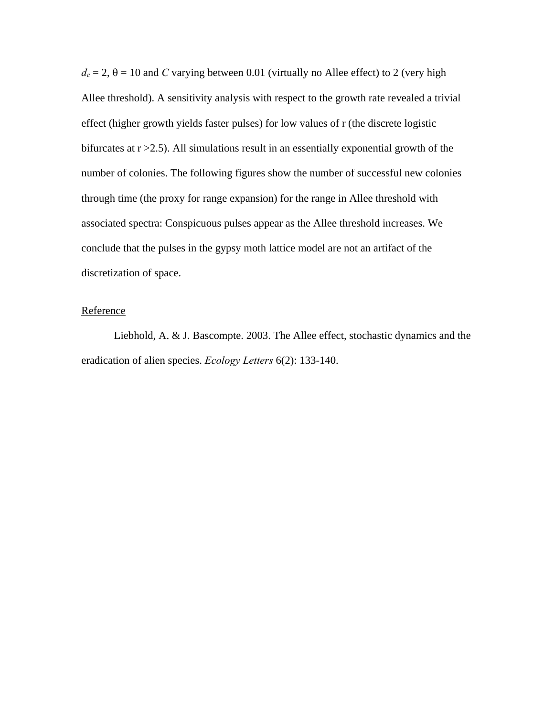$d_c = 2$ ,  $\theta = 10$  and *C* varying between 0.01 (virtually no Allee effect) to 2 (very high Allee threshold). A sensitivity analysis with respect to the growth rate revealed a trivial effect (higher growth yields faster pulses) for low values of r (the discrete logistic bifurcates at  $r > 2.5$ ). All simulations result in an essentially exponential growth of the number of colonies. The following figures show the number of successful new colonies through time (the proxy for range expansion) for the range in Allee threshold with associated spectra: Conspicuous pulses appear as the Allee threshold increases. We conclude that the pulses in the gypsy moth lattice model are not an artifact of the discretization of space.

## Reference

Liebhold, A. & J. Bascompte. 2003. The Allee effect, stochastic dynamics and the eradication of alien species. *Ecology Letters* 6(2): 133-140.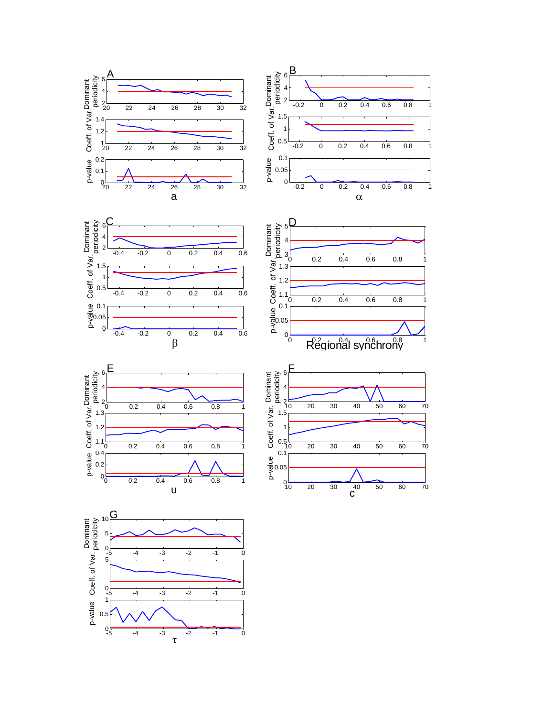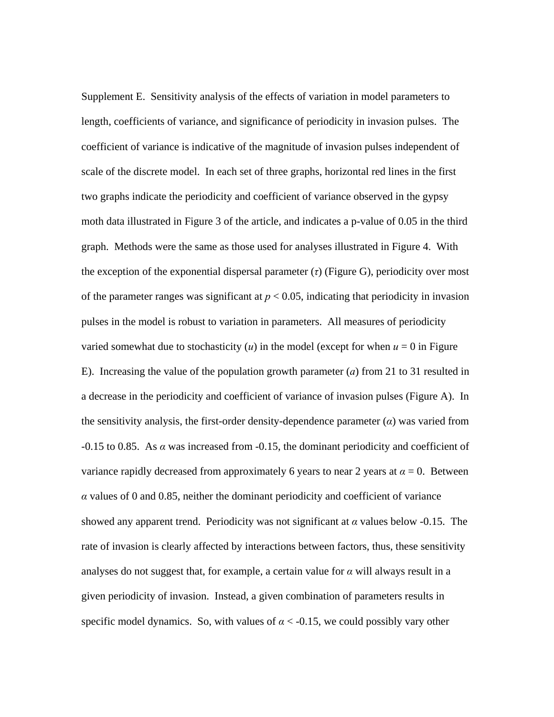Supplement E. Sensitivity analysis of the effects of variation in model parameters to length, coefficients of variance, and significance of periodicity in invasion pulses. The coefficient of variance is indicative of the magnitude of invasion pulses independent of scale of the discrete model. In each set of three graphs, horizontal red lines in the first two graphs indicate the periodicity and coefficient of variance observed in the gypsy moth data illustrated in Figure 3 of the article, and indicates a p-value of 0.05 in the third graph. Methods were the same as those used for analyses illustrated in Figure 4. With the exception of the exponential dispersal parameter (*τ*) (Figure G), periodicity over most of the parameter ranges was significant at  $p < 0.05$ , indicating that periodicity in invasion pulses in the model is robust to variation in parameters. All measures of periodicity varied somewhat due to stochasticity  $(u)$  in the model (except for when  $u = 0$  in Figure E). Increasing the value of the population growth parameter (*a*) from 21 to 31 resulted in a decrease in the periodicity and coefficient of variance of invasion pulses (Figure A). In the sensitivity analysis, the first-order density-dependence parameter (*α*) was varied from -0.15 to 0.85. As *α* was increased from -0.15, the dominant periodicity and coefficient of variance rapidly decreased from approximately 6 years to near 2 years at  $\alpha = 0$ . Between *α* values of 0 and 0.85, neither the dominant periodicity and coefficient of variance showed any apparent trend. Periodicity was not significant at *α* values below -0.15. The rate of invasion is clearly affected by interactions between factors, thus, these sensitivity analyses do not suggest that, for example, a certain value for  $\alpha$  will always result in a given periodicity of invasion. Instead, a given combination of parameters results in specific model dynamics. So, with values of  $\alpha < -0.15$ , we could possibly vary other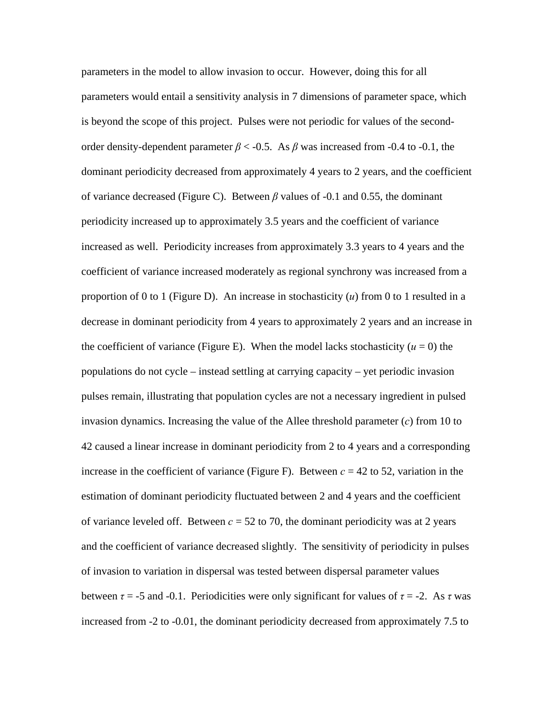parameters in the model to allow invasion to occur. However, doing this for all parameters would entail a sensitivity analysis in 7 dimensions of parameter space, which is beyond the scope of this project. Pulses were not periodic for values of the secondorder density-dependent parameter  $\beta$  < -0.5. As  $\beta$  was increased from -0.4 to -0.1, the dominant periodicity decreased from approximately 4 years to 2 years, and the coefficient of variance decreased (Figure C). Between *β* values of -0.1 and 0.55, the dominant periodicity increased up to approximately 3.5 years and the coefficient of variance increased as well. Periodicity increases from approximately 3.3 years to 4 years and the coefficient of variance increased moderately as regional synchrony was increased from a proportion of 0 to 1 (Figure D). An increase in stochasticity (*u*) from 0 to 1 resulted in a decrease in dominant periodicity from 4 years to approximately 2 years and an increase in the coefficient of variance (Figure E). When the model lacks stochasticity ( $u = 0$ ) the populations do not cycle – instead settling at carrying capacity – yet periodic invasion pulses remain, illustrating that population cycles are not a necessary ingredient in pulsed invasion dynamics. Increasing the value of the Allee threshold parameter (*c*) from 10 to 42 caused a linear increase in dominant periodicity from 2 to 4 years and a corresponding increase in the coefficient of variance (Figure F). Between  $c = 42$  to 52, variation in the estimation of dominant periodicity fluctuated between 2 and 4 years and the coefficient of variance leveled off. Between  $c = 52$  to 70, the dominant periodicity was at 2 years and the coefficient of variance decreased slightly. The sensitivity of periodicity in pulses of invasion to variation in dispersal was tested between dispersal parameter values between  $\tau = -5$  and -0.1. Periodicities were only significant for values of  $\tau = -2$ . As  $\tau$  was increased from -2 to -0.01, the dominant periodicity decreased from approximately 7.5 to